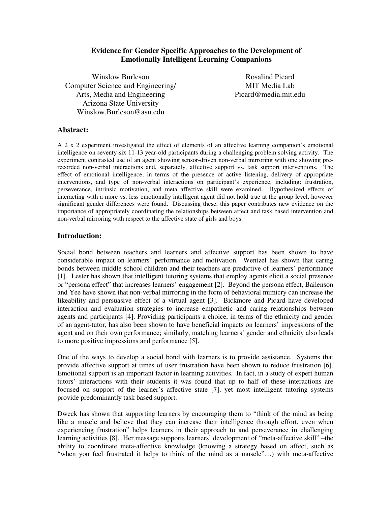# **Evidence for Gender Specific Approaches to the Development of Emotionally Intelligent Learning Companions**

Winslow Burleson Computer Science and Engineering/ Arts, Media and Engineering Arizona State University Winslow.Burleson@asu.edu

Rosalind Picard MIT Media Lab Picard@media.mit.edu

#### **Abstract:**

A 2 x 2 experiment investigated the effect of elements of an affective learning companion's emotional intelligence on seventy-six 11-13 year-old participants during a challenging problem solving activity. The experiment contrasted use of an agent showing sensor-driven non-verbal mirroring with one showing prerecorded non-verbal interactions and, separately, affective support vs. task support interventions. The effect of emotional intelligence, in terms of the presence of active listening, delivery of appropriate interventions, and type of non-verbal interactions on participant's experience, including: frustration, perseverance, intrinsic motivation, and meta affective skill were examined. Hypothesized effects of interacting with a more vs. less emotionally intelligent agent did not hold true at the group level, however significant gender differences were found. Discussing these, this paper contributes new evidence on the importance of appropriately coordinating the relationships between affect and task based intervention and non-verbal mirroring with respect to the affective state of girls and boys.

#### **Introduction:**

Social bond between teachers and learners and affective support has been shown to have considerable impact on learners' performance and motivation. Wentzel has shown that caring bonds between middle school children and their teachers are predictive of learners' performance [1]. Lester has shown that intelligent tutoring systems that employ agents elicit a social presence or "persona effect" that increases learners' engagement [2]. Beyond the persona effect, Bailenson and Yee have shown that non-verbal mirroring in the form of behavioral mimicry can increase the likeability and persuasive effect of a virtual agent [3]. Bickmore and Picard have developed interaction and evaluation strategies to increase empathetic and caring relationships between agents and participants [4]. Providing participants a choice, in terms of the ethnicity and gender of an agent-tutor, has also been shown to have beneficial impacts on learners' impressions of the agent and on their own performance; similarly, matching learners' gender and ethnicity also leads to more positive impressions and performance [5].

One of the ways to develop a social bond with learners is to provide assistance. Systems that provide affective support at times of user frustration have been shown to reduce frustration [6]. Emotional support is an important factor in learning activities. In fact, in a study of expert human tutors' interactions with their students it was found that up to half of these interactions are focused on support of the learner's affective state [7], yet most intelligent tutoring systems provide predominantly task based support.

Dweck has shown that supporting learners by encouraging them to "think of the mind as being like a muscle and believe that they can increase their intelligence through effort, even when experiencing frustration" helps learners in their approach to and perseverance in challenging learning activities [8]. Her message supports learners' development of "meta-affective skill" –the ability to coordinate meta-affective knowledge (knowing a strategy based on affect, such as "when you feel frustrated it helps to think of the mind as a muscle"…) with meta-affective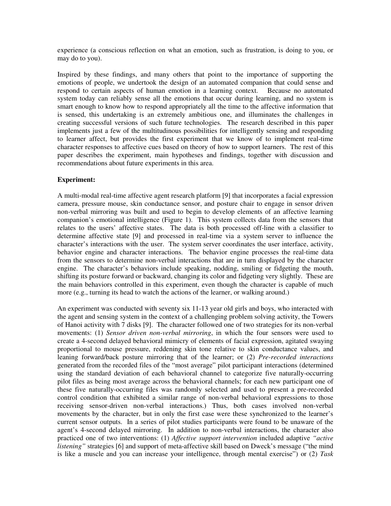experience (a conscious reflection on what an emotion, such as frustration, is doing to you, or may do to you).

Inspired by these findings, and many others that point to the importance of supporting the emotions of people, we undertook the design of an automated companion that could sense and respond to certain aspects of human emotion in a learning context. Because no automated system today can reliably sense all the emotions that occur during learning, and no system is smart enough to know how to respond appropriately all the time to the affective information that is sensed, this undertaking is an extremely ambitious one, and illuminates the challenges in creating successful versions of such future technologies. The research described in this paper implements just a few of the multitudinous possibilities for intelligently sensing and responding to learner affect, but provides the first experiment that we know of to implement real-time character responses to affective cues based on theory of how to support learners. The rest of this paper describes the experiment, main hypotheses and findings, together with discussion and recommendations about future experiments in this area.

#### **Experiment:**

A multi-modal real-time affective agent research platform [9] that incorporates a facial expression camera, pressure mouse, skin conductance sensor, and posture chair to engage in sensor driven non-verbal mirroring was built and used to begin to develop elements of an affective learning companion's emotional intelligence (Figure 1). This system collects data from the sensors that relates to the users' affective states. The data is both processed off-line with a classifier to determine affective state [9] and processed in real-time via a system server to influence the character's interactions with the user. The system server coordinates the user interface, activity, behavior engine and character interactions. The behavior engine processes the real-time data from the sensors to determine non-verbal interactions that are in turn displayed by the character engine. The character's behaviors include speaking, nodding, smiling or fidgeting the mouth, shifting its posture forward or backward, changing its color and fidgeting very slightly. These are the main behaviors controlled in this experiment, even though the character is capable of much more (e.g., turning its head to watch the actions of the learner, or walking around.)

An experiment was conducted with seventy six 11-13 year old girls and boys, who interacted with the agent and sensing system in the context of a challenging problem solving activity, the Towers of Hanoi activity with 7 disks [9]. The character followed one of two strategies for its non-verbal movements: (1) *Sensor driven non-verbal mirroring*, in which the four sensors were used to create a 4-second delayed behavioral mimicry of elements of facial expression, agitated swaying proportional to mouse pressure, reddening skin tone relative to skin conductance values, and leaning forward/back posture mirroring that of the learner; or (2) *Pre-recorded interactions* generated from the recorded files of the "most average" pilot participant interactions (determined using the standard deviation of each behavioral channel to categorize five naturally-occurring pilot files as being most average across the behavioral channels; for each new participant one of these five naturally-occurring files was randomly selected and used to present a pre-recorded control condition that exhibited a similar range of non-verbal behavioral expressions to those receiving sensor-driven non-verbal interactions.) Thus, both cases involved non-verbal movements by the character, but in only the first case were these synchronized to the learner's current sensor outputs. In a series of pilot studies participants were found to be unaware of the agent's 4-second delayed mirroring. In addition to non-verbal interactions, the character also practiced one of two interventions: (1) *Affective support intervention* included adaptive *"active listening"* strategies [6] and support of meta-affective skill based on Dweck's message ("the mind is like a muscle and you can increase your intelligence, through mental exercise") or (2) *Task*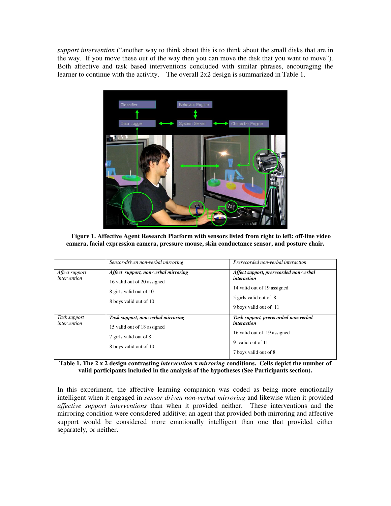*support intervention* ("another way to think about this is to think about the small disks that are in the way. If you move these out of the way then you can move the disk that you want to move"). Both affective and task based interventions concluded with similar phrases, encouraging the learner to continue with the activity. The overall 2x2 design is summarized in Table 1.



**Figure 1. Affective Agent Research Platform with sensors listed from right to left: off-line video camera, facial expression camera, pressure mouse, skin conductance sensor, and posture chair.** 

|                                | Sensor-driven non-verbal mirroring                                                                                       | Prerecorded non-verbal interaction                                                                                                       |
|--------------------------------|--------------------------------------------------------------------------------------------------------------------------|------------------------------------------------------------------------------------------------------------------------------------------|
| Affect support<br>intervention | Affect support, non-verbal mirroring<br>16 valid out of 20 assigned<br>8 girls valid out of 10<br>8 boys valid out of 10 | Affect support, prerecorded non-verbal<br>interaction<br>14 valid out of 19 assigned<br>5 girls valid out of 8<br>9 boys valid out of 11 |
| Task support<br>intervention   | Task support, non-verbal mirroring<br>15 valid out of 18 assigned<br>7 girls valid out of 8<br>8 boys valid out of 10    | Task support, prerecorded non-verbal<br><i>interaction</i><br>16 valid out of 19 assigned<br>9 valid out of 11<br>7 boys valid out of 8  |

**Table 1. The 2 x 2 design contrasting** *intervention* **x** *mirroring* **conditions. Cells depict the number of valid participants included in the analysis of the hypotheses (See Participants section).** 

In this experiment, the affective learning companion was coded as being more emotionally intelligent when it engaged in *sensor driven non-verbal mirroring* and likewise when it provided *affective support interventions* than when it provided neither. These interventions and the mirroring condition were considered additive; an agent that provided both mirroring and affective support would be considered more emotionally intelligent than one that provided either separately, or neither.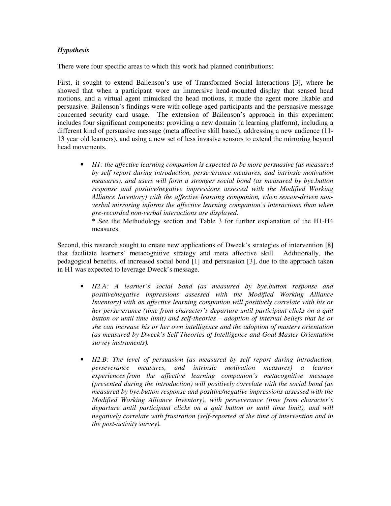# *Hypothesis*

There were four specific areas to which this work had planned contributions:

First, it sought to extend Bailenson's use of Transformed Social Interactions [3], where he showed that when a participant wore an immersive head-mounted display that sensed head motions, and a virtual agent mimicked the head motions, it made the agent more likable and persuasive. Bailenson's findings were with college-aged participants and the persuasive message concerned security card usage. The extension of Bailenson's approach in this experiment includes four significant components: providing a new domain (a learning platform), including a different kind of persuasive message (meta affective skill based), addressing a new audience (11- 13 year old learners), and using a new set of less invasive sensors to extend the mirroring beyond head movements.

• *H1: the affective learning companion is expected to be more persuasive (as measured by self report during introduction, perseverance measures, and intrinsic motivation measures), and users will form a stronger social bond (as measured by bye.button response and positive/negative impressions assessed with the Modified Working Alliance Inventory) with the affective learning companion, when sensor-driven nonverbal mirroring informs the affective learning companion's interactions than when pre-recorded non-verbal interactions are displayed.* 

\* See the Methodology section and Table 3 for further explanation of the H1-H4 measures.

Second, this research sought to create new applications of Dweck's strategies of intervention [8] that facilitate learners' metacognitive strategy and meta affective skill. Additionally, the pedagogical benefits, of increased social bond [1] and persuasion [3], due to the approach taken in H1 was expected to leverage Dweck's message.

- *H2.A: A learner's social bond (as measured by bye.button response and positive/negative impressions assessed with the Modified Working Alliance Inventory) with an affective learning companion will positively correlate with his or her perseverance (time from character's departure until participant clicks on a quit button or until time limit) and self-theories – adoption of internal beliefs that he or she can increase his or her own intelligence and the adoption of mastery orientation (as measured by Dweck's Self Theories of Intelligence and Goal Master Orientation survey instruments).*
- *H2.B: The level of persuasion (as measured by self report during introduction, perseverance measures, and intrinsic motivation measures) a learner experiences from the affective learning companion's metacognitive message (presented during the introduction) will positively correlate with the social bond (as measured by bye.button response and positive/negative impressions assessed with the Modified Working Alliance Inventory), with perseverance (time from character's departure until participant clicks on a quit button or until time limit), and will negatively correlate with frustration (self-reported at the time of intervention and in the post-activity survey).*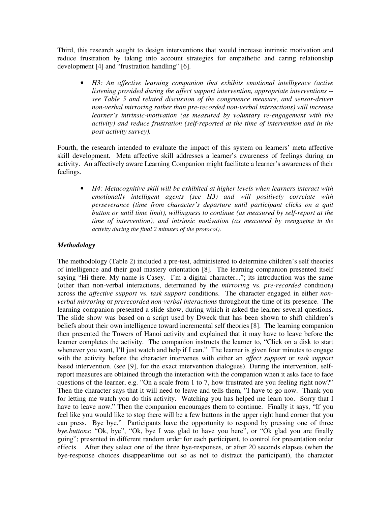Third, this research sought to design interventions that would increase intrinsic motivation and reduce frustration by taking into account strategies for empathetic and caring relationship development [4] and "frustration handling" [6].

• *H3: An affective learning companion that exhibits emotional intelligence (active listening provided during the affect support intervention, appropriate interventions - see Table 5 and related discussion of the congruence measure, and sensor-driven non-verbal mirroring rather than pre-recorded non-verbal interactions) will increase learner's intrinsic-motivation (as measured by voluntary re-engagement with the activity) and reduce frustration (self-reported at the time of intervention and in the post-activity survey).* 

Fourth, the research intended to evaluate the impact of this system on learners' meta affective skill development. Meta affective skill addresses a learner's awareness of feelings during an activity. An affectively aware Learning Companion might facilitate a learner's awareness of their feelings.

• *H4: Metacognitive skill will be exhibited at higher levels when learners interact with emotionally intelligent agents (see H3) and will positively correlate with perseverance (time from character's departure until participant clicks on a quit button or until time limit), willingness to continue (as measured by self-report at the time of intervention), and intrinsic motivation (as measured by reengaging in the activity during the final 2 minutes of the protocol).* 

# *Methodology*

The methodology (Table 2) included a pre-test, administered to determine children's self theories of intelligence and their goal mastery orientation [8]. The learning companion presented itself saying "Hi there. My name is Casey. I'm a digital character..."; its introduction was the same (other than non-verbal interactions, determined by the *mirroring* vs. *pre-recorded* condition) across the *affective support* vs. *task support* conditions. The character engaged in either *nonverbal mirroring* or *prerecorded non-verbal interactions* throughout the time of its presence. The learning companion presented a slide show, during which it asked the learner several questions. The slide show was based on a script used by Dweck that has been shown to shift children's beliefs about their own intelligence toward incremental self theories [8]. The learning companion then presented the Towers of Hanoi activity and explained that it may have to leave before the learner completes the activity. The companion instructs the learner to, "Click on a disk to start whenever you want, I'll just watch and help if I can." The learner is given four minutes to engage with the activity before the character intervenes with either an *affect support* or *task support* based intervention. (see [9], for the exact intervention dialogues). During the intervention, selfreport measures are obtained through the interaction with the companion when it asks face to face questions of the learner, e.g. "On a scale from 1 to 7, how frustrated are you feeling right now?" Then the character says that it will need to leave and tells them, "I have to go now. Thank you for letting me watch you do this activity. Watching you has helped me learn too. Sorry that I have to leave now." Then the companion encourages them to continue. Finally it says, "If you feel like you would like to stop there will be a few buttons in the upper right hand corner that you can press. Bye bye." Participants have the opportunity to respond by pressing one of three *bye.buttons*: "Ok, bye", "Ok, bye I was glad to have you here", or "Ok glad you are finally going"; presented in different random order for each participant, to control for presentation order effects. After they select one of the three bye-responses, or after 20 seconds elapses (when the bye-response choices disappear/time out so as not to distract the participant), the character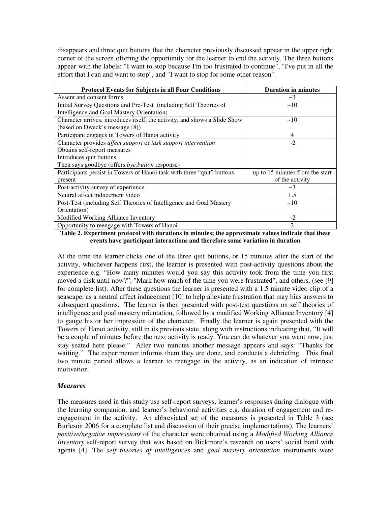disappears and three quit buttons that the character previously discussed appear in the upper right corner of the screen offering the opportunity for the learner to end the activity. The three buttons appear with the labels: "I want to stop because I'm too frustrated to continue", "I've put in all the effort that I can and want to stop", and "I want to stop for some other reason".

| <b>Protocol Events for Subjects in all Four Conditions</b>                 | <b>Duration in minutes</b>      |
|----------------------------------------------------------------------------|---------------------------------|
| Assent and consent forms                                                   | $-3$                            |
| Initial Survey Questions and Pre-Test (including Self Theories of          | ~10                             |
| Intelligence and Goal Mastery Orientation)                                 |                                 |
| Character arrives, introduces itself, the activity, and shows a Slide Show | ~10                             |
| (based on Dweck's message [8])                                             |                                 |
| Participant engages in Towers of Hanoi activity                            | 4                               |
| Character provides affect support or task support intervention             | $-2$                            |
| Obtains self-report measures                                               |                                 |
| Introduces quit buttons                                                    |                                 |
| Then says goodbye (offers <i>bye.button</i> response)                      |                                 |
| Participants persist in Towers of Hanoi task with three "quit" buttons     | up to 15 minutes from the start |
| present                                                                    | of the activity                 |
| Post-activity survey of experience                                         | $\sim$ 3                        |
| Neutral affect inducement video                                            | 1.5                             |
| Post-Test (including Self Theories of Intelligence and Goal Mastery        | ~10                             |
| Orientation)                                                               |                                 |
| Modified Working Alliance Inventory                                        | $-2$                            |
| Opportunity to reengage with Towers of Hanoi                               | $\mathcal{D}_{\mathcal{L}}$     |

**Table 2. Experiment protocol with durations in minutes; the approximate values indicate that these events have participant interactions and therefore some variation in duration** 

At the time the learner clicks one of the three quit buttons, or 15 minutes after the start of the activity, whichever happens first, the learner is presented with post-activity questions about the experience e.g. "How many minutes would you say this activity took from the time you first moved a disk until now?", "Mark how much of the time you were frustrated", and others, (see [9] for complete list). After these questions the learner is presented with a 1.5 minute video clip of a seascape, as a neutral affect inducement [10] to help alleviate frustration that may bias answers to subsequent questions. The learner is then presented with post-test questions on self theories of intelligence and goal mastery orientation, followed by a modified Working Alliance Inventory [4] to gauge his or her impression of the character. Finally the learner is again presented with the Towers of Hanoi activity, still in its previous state, along with instructions indicating that, "It will be a couple of minutes before the next activity is ready. You can do whatever you want now, just stay seated here please." After two minutes another message appears and says: "Thanks for waiting." The experimenter informs them they are done, and conducts a debriefing. This final two minute period allows a learner to reengage in the activity, as an indication of intrinsic motivation.

## *Measures*

The measures used in this study use self-report surveys, learner's responses during dialogue with the learning companion, and learner's behavioral activities e.g. duration of engagement and reengagement in the activity. An abbreviated set of the measures is presented in Table 3 (see Burleson 2006 for a complete list and discussion of their precise implementations). The learners' *positive/negative impressions* of the character were obtained using a *Modified Working Alliance Inventory* self-report survey that was based on Bickmore's research on users' social bond with agents [4]. The *self theories of intelligences* and *goal mastery orientation* instruments were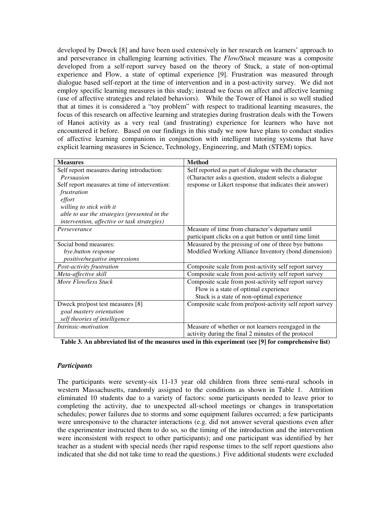developed by Dweck [8] and have been used extensively in her research on learners' approach to and perseverance in challenging learning activities. The *Flow/Stuck* measure was a composite developed from a self-report survey based on the theory of Stuck, a state of non-optimal experience and Flow, a state of optimal experience [9]. Frustration was measured through dialogue based self-report at the time of intervention and in a post-activity survey. We did not employ specific learning measures in this study; instead we focus on affect and affective learning (use of affective strategies and related behaviors). While the Tower of Hanoi is so well studied that at times it is considered a "toy problem" with respect to traditional learning measures, the focus of this research on affective learning and strategies during frustration deals with the Towers of Hanoi activity as a very real (and frustrating) experience for learners who have not encountered it before. Based on our findings in this study we now have plans to conduct studies of affective learning companions in conjunction with intelligent tutoring systems that have explicit learning measures in Science, Technology, Engineering, and Math (STEM) topics.

| <b>Measures</b>                               | <b>Method</b>                                             |  |
|-----------------------------------------------|-----------------------------------------------------------|--|
| Self report measures during introduction:     | Self reported as part of dialogue with the character      |  |
| Persuasion                                    | (Character asks a question, student selects a dialogue    |  |
| Self report measures at time of intervention: | response or Likert response that indicates their answer)  |  |
| frustration                                   |                                                           |  |
| effort                                        |                                                           |  |
| willing to stick with it                      |                                                           |  |
| able to use the strategies (presented in the  |                                                           |  |
| intervention, affective or task strategies)   |                                                           |  |
| Perseverance                                  | Measure of time from character's departure until          |  |
|                                               | participant clicks on a quit button or until time limit   |  |
| Social bond measures:                         | Measured by the pressing of one of three bye buttons      |  |
| bye.button response                           | Modified Working Alliance Inventory (bond dimension)      |  |
| positive/negative impressions                 |                                                           |  |
| Post-activity frustration                     | Composite scale from post-activity self report survey     |  |
| Meta-affective skill                          | Composite scale from post-activity self report survey     |  |
| More Flow/less Stuck                          | Composite scale from post-activity self report survey     |  |
|                                               | Flow is a state of optimal experience                     |  |
|                                               | Stuck is a state of non-optimal experience                |  |
| Dweck pre/post test measures [8]              | Composite scale from pre/post-activity self report survey |  |
| goal mastery orientation                      |                                                           |  |
| self theories of intelligence                 |                                                           |  |
| <i>Intrinsic-motivation</i>                   | Measure of whether or not learners reengaged in the       |  |
|                                               | activity during the final 2 minutes of the protocol       |  |

**Table 3. An abbreviated list of the measures used in this experiment (see [9] for comprehensive list)**

## *Participants*

The participants were seventy-six 11-13 year old children from three semi-rural schools in western Massachusetts, randomly assigned to the conditions as shown in Table 1. Attrition eliminated 10 students due to a variety of factors: some participants needed to leave prior to completing the activity, due to unexpected all-school meetings or changes in transportation schedules; power failures due to storms and some equipment failures occurred; a few participants were unresponsive to the character interactions (e.g. did not answer several questions even after the experimenter instructed them to do so, so the timing of the introduction and the intervention were inconsistent with respect to other participants); and one participant was identified by her teacher as a student with special needs (her rapid response times to the self report questions also indicated that she did not take time to read the questions.) Five additional students were excluded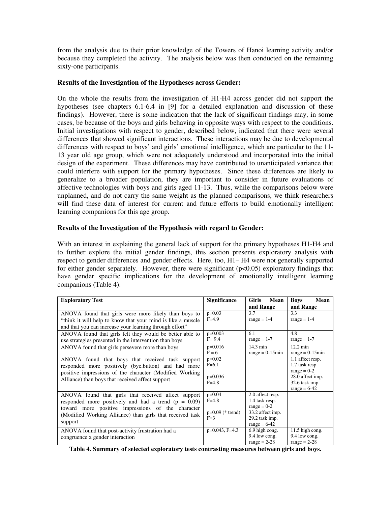from the analysis due to their prior knowledge of the Towers of Hanoi learning activity and/or because they completed the activity. The analysis below was then conducted on the remaining sixty-one participants.

## **Results of the Investigation of the Hypotheses across Gender:**

On the whole the results from the investigation of H1-H4 across gender did not support the hypotheses (see chapters 6.1-6.4 in [9] for a detailed explanation and discussion of these findings). However, there is some indication that the lack of significant findings may, in some cases, be because of the boys and girls behaving in opposite ways with respect to the conditions. Initial investigations with respect to gender, described below, indicated that there were several differences that showed significant interactions. These interactions may be due to developmental differences with respect to boys' and girls' emotional intelligence, which are particular to the 11- 13 year old age group, which were not adequately understood and incorporated into the initial design of the experiment. These differences may have contributed to unanticipated variance that could interfere with support for the primary hypotheses. Since these differences are likely to generalize to a broader population, they are important to consider in future evaluations of affective technologies with boys and girls aged 11-13. Thus, while the comparisons below were unplanned, and do not carry the same weight as the planned comparisons, we think researchers will find these data of interest for current and future efforts to build emotionally intelligent learning companions for this age group.

# **Results of the Investigation of the Hypothesis with regard to Gender:**

With an interest in explaining the general lack of support for the primary hypotheses H<sub>1</sub>-H<sub>4</sub> and to further explore the initial gender findings, this section presents exploratory analysis with respect to gender differences and gender effects. Here, too, H1– H4 were not generally supported for either gender separately. However, there were significant  $(p<0.05)$  exploratory findings that have gender specific implications for the development of emotionally intelligent learning companions (Table 4).

| <b>Exploratory Test</b>                                                                                                                                                                                                                    | <b>Significance</b>                                  | <b>Girls</b><br>Mean                                                                                        | <b>Boys</b><br>Mean                                                                                         |
|--------------------------------------------------------------------------------------------------------------------------------------------------------------------------------------------------------------------------------------------|------------------------------------------------------|-------------------------------------------------------------------------------------------------------------|-------------------------------------------------------------------------------------------------------------|
|                                                                                                                                                                                                                                            |                                                      | and Range                                                                                                   | and Range                                                                                                   |
| ANOVA found that girls were more likely than boys to<br>"think it will help to know that your mind is like a muscle"<br>and that you can increase your learning through effort"                                                            | $p=0.03$<br>$F=4.9$                                  | 3.7<br>$range = 1-4$                                                                                        | 3.3<br>$range = 1-4$                                                                                        |
| ANOVA found that girls felt they would be better able to<br>use strategies presented in the intervention than boys                                                                                                                         | $p=0.003$<br>$F = 9.4$                               | 6.1<br>range $= 1-7$                                                                                        | 4.8<br>range $= 1-7$                                                                                        |
| ANOVA found that girls persevere more than boys                                                                                                                                                                                            | $p=0.016$<br>$F = 6$                                 | $14.3 \text{ min}$<br>$range = 0.15min$                                                                     | $12.2 \text{ min}$<br>$range = 0.15min$                                                                     |
| ANOVA found that boys that received task support<br>responded more positively (bye.button) and had more<br>positive impressions of the character (Modified Working)<br>Alliance) than boys that received affect support                    | $p=0.02$<br>$F=6.1$<br>$p=0.036$<br>$F = 4.8$        |                                                                                                             | 1.1 affect resp.<br>1.7 task resp.<br>$range = 0-2$<br>28.0 affect imp.<br>32.6 task imp.<br>range = $6-42$ |
| ANOVA found that girls that received affect support<br>responded more positively and had a trend $(p = 0.09)$<br>toward more positive impressions of the character<br>(Modified Working Alliance) than girls that received task<br>support | $p=0.04$<br>$F = 4.8$<br>$p=0.09$ (* trend)<br>$F=3$ | 2.0 affect resp.<br>1.4 task resp.<br>range = $0-2$<br>33.2 affect imp.<br>29.2 task imp.<br>$range = 6-42$ |                                                                                                             |
| ANOVA found that post-activity frustration had a<br>congruence x gender interaction                                                                                                                                                        | $p=0.043$ , F=4.3                                    | 6.9 high cong.<br>9.4 low cong.<br>range $= 2-28$                                                           | 11.5 high cong.<br>9.4 low cong.<br>$range = 2-28$                                                          |

**Table 4. Summary of selected exploratory tests contrasting measures between girls and boys.**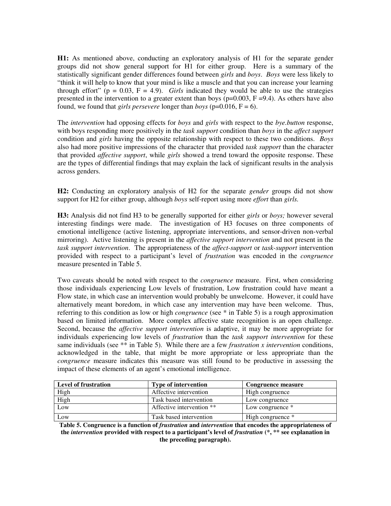**H1:** As mentioned above, conducting an exploratory analysis of H1 for the separate gender groups did not show general support for H1 for either group. Here is a summary of the statistically significant gender differences found between *girls* and *boys*. *Boys* were less likely to "think it will help to know that your mind is like a muscle and that you can increase your learning through effort" ( $p = 0.03$ ,  $F = 4.9$ ). *Girls* indicated they would be able to use the strategies presented in the intervention to a greater extent than boys ( $p=0.003$ ,  $F=9.4$ ). As others have also found, we found that *girls persevere* longer than *boys* ( $p=0.016$ ,  $F=6$ ).

The *intervention* had opposing effects for *boys* and *girls* with respect to the *bye.button* response, with boys responding more positively in the *task support* condition than *boys* in the *affect support*  condition and *girls* having the opposite relationship with respect to these two conditions. *Boys*  also had more positive impressions of the character that provided *task support* than the character that provided *affective support*, while *girls* showed a trend toward the opposite response. These are the types of differential findings that may explain the lack of significant results in the analysis across genders.

**H2:** Conducting an exploratory analysis of H2 for the separate *gender* groups did not show support for H2 for either group, although *boys* self-report using more *effort* than *girls.* 

**H3:** Analysis did not find H3 to be generally supported for either *girls* or *boys;* however several interesting findings were made. The investigation of H3 focuses on three components of emotional intelligence (active listening, appropriate interventions, and sensor-driven non-verbal mirroring). Active listening is present in the *affective support intervention* and not present in the *task support intervention*. The appropriateness of the *affect-support* or *task-support* intervention provided with respect to a participant's level of *frustration* was encoded in the *congruence* measure presented in Table 5.

Two caveats should be noted with respect to the *congruence* measure. First, when considering those individuals experiencing Low levels of frustration, Low frustration could have meant a Flow state, in which case an intervention would probably be unwelcome. However, it could have alternatively meant boredom, in which case any intervention may have been welcome. Thus, referring to this condition as low or high *congruence* (see \* in Table 5) is a rough approximation based on limited information. More complex affective state recognition is an open challenge. Second, because the *affective support intervention* is adaptive, it may be more appropriate for individuals experiencing low levels of *frustration* than the *task support intervention* for these same individuals (see \*\* in Table 5).While there are a few *frustration x intervention* conditions, acknowledged in the table, that might be more appropriate or less appropriate than the *congruence* measure indicates this measure was still found to be productive in assessing the impact of these elements of an agent's emotional intelligence.

| <b>Level of frustration</b> | <b>Type of intervention</b> | Congruence measure |
|-----------------------------|-----------------------------|--------------------|
| High                        | Affective intervention      | High congruence    |
| High                        | Task based intervention     | Low congruence     |
| Low                         | Affective intervention **   | Low congruence *   |
| Low                         | Task based intervention     | High congruence *  |

**Table 5. Congruence is a function of** *frustration* **and** *intervention* **that encodes the appropriateness of the** *intervention* **provided with respect to a participant's level of** *frustration* **(\*, \*\* see explanation in the preceding paragraph).**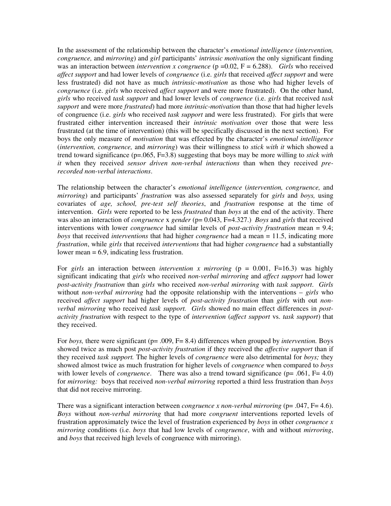In the assessment of the relationship between the character's *emotional intelligence* (*intervention, congruence,* and *mirroring*) and *girl* participants' *intrinsic motivation* the only significant finding was an interaction between *intervention x congruence* (p =0.02, F = 6.288). *Girls* who received *affect support* and had lower levels of *congruence* (i.e. *girls* that received *affect support* and were less frustrated) did not have as much *intrinsic-motivation* as those who had higher levels of *congruence* (i.e. *girls* who received *affect support* and were more frustrated). On the other hand, *girls* who received *task support* and had lower levels of *congruence* (i.e. *girls* that received *task support* and were more *frustrated*) had more *intrinsic-motivation* than those that had higher levels of congruence (i.e. *girls* who received *task support* and were less frustrated). For girls that were frustrated either intervention increased their *intrinsic motivation* over those that were less frustrated (at the time of intervention) (this will be specifically discussed in the next section). For boys the only measure of *motivation* that was effected by the character's *emotional intelligence*  (*intervention, congruence,* and *mirroring*) was their willingness to *stick with it* which showed a trend toward significance (p=.065, F=3.8) suggesting that boys may be more willing to *stick with it* when they received *sensor driven non-verbal interactions* than when they received *prerecorded non-verbal interactions*.

The relationship between the character's *emotional intelligence* (*intervention, congruence,* and *mirroring*) and participants' *frustration* was also assessed separately for *girls* and *boys,* using covariates of *age, school, pre-test self theories*, and *frustration* response at the time of intervention. *Girls* were reported to be less *frustrated* than *boys* at the end of the activity. There was also an interaction of *congruence* x *gender* ( $p= 0.043$ , F=4.327.) *Boys* and *girls* that received interventions with lower *congruence* had similar levels of *post-activity frustration* mean = 9.4; *boys* that received *interventions* that had higher *congruence* had a mean = 11.5, indicating more *frustration*, while *girls* that received *interventions* that had higher *congruence* had a substantially lower mean = 6.9, indicating less frustration.

For *girls* an interaction between *intervention x mirroring* (p = 0.001, F=16.3) was highly significant indicating that *girls* who received *non-verbal mirroring* and *affect support* had lower *post-activity frustration* than *girls* who received *non-verbal mirroring* with *task support*. *Girls* without *non-verbal mirroring* had the opposite relationship with the interventions – *girls* who received *affect support* had higher levels of *post-activity frustration* than *girls* with out *nonverbal mirroring* who received *task support. Girls* showed no main effect differences in *postactivity frustration* with respect to the type of *intervention* (*affect support* vs. *task support*) that they received.

For *boys*, there were significant (p= .009, F= 8.4) differences when grouped by *intervention*. Boys showed twice as much post *post-activity frustration* if they received the *affective support* than if they received *task support.* The higher levels of *congruence* were also detrimental for *boys;* they showed almost twice as much frustration for higher levels of *congruence* when compared to *boys*  with lower levels of *congruence*. There was also a trend toward significance (p= .061, F= 4.0) for *mirroring:* boys that received *non-verbal mirroring* reported a third less frustration than *boys*  that did not receive mirroring.

There was a significant interaction between *congruence x non-verbal mirroring* (p= .047, F= 4.6). *Boys* without *non-verbal mirroring* that had more *congruent* interventions reported levels of frustration approximately twice the level of frustration experienced by *boys* in other *congruence x mirroring* conditions (i.e. *boys* that had low levels of *congruence*, with and without *mirroring*, and *boys* that received high levels of congruence with mirroring).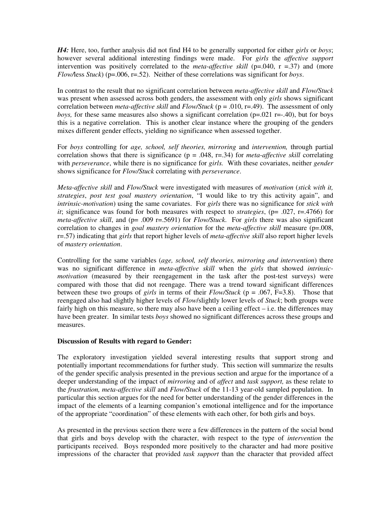*H4:* Here, too, further analysis did not find H4 to be generally supported for either *girls* or *boys*; however several additional interesting findings were made. For *girls* the *affective support* intervention was positively correlated to the *meta-affective skill* ( $p=0.040$ ,  $r = 0.37$ ) and (more *Flow/*less *Stuck*) (p=.006, r=.52). Neither of these correlations was significant for *boys*.

In contrast to the result that no significant correlation between *meta-affective skill* and *Flow/Stuck*  was present when assessed across both genders, the assessment with only *girls* shows significant correlation between *meta-affective skill* and *Flow/Stuck* (p = .010, r=.49). The assessment of only *boys*, for these same measures also shows a significant correlation ( $p=0.021$  r=-.40), but for boys this is a negative correlation. This is another clear instance where the grouping of the genders mixes different gender effects, yielding no significance when assessed together.

For *boys* controlling for *age, school, self theories, mirroring* and *intervention,* through partial correlation shows that there is significance  $(p = .048, r = .34)$  for *meta-affective skill* correlating with *perseverance*, while there is no significance for *girls.* With these covariates, neither *gender*  shows significance for *Flow/Stuck* correlating with *perseverance*.

*Meta-affective skill* and *Flow/Stuck* were investigated with measures of *motivation* (*stick with it, strategies*, *post test goal mastery orientation*, "I would like to try this activity again", and *intrinsic-motivation*) using the same covariates. For *girls* there was no significance for *stick with it*; significance was found for both measures with respect to *strategies*, (p= .027, r=.4766) for *meta-affective skill*, and (p= .009 r=.5691) for *Flow/Stuck*. For *girls* there was also significant correlation to changes in *goal mastery orientation* for the *meta-affective skill* measure (p=.008, r=.57) indicating that *girls* that report higher levels of *meta-affective skill* also report higher levels of *mastery orientation*.

Controlling for the same variables (*age, school, self theories, mirroring and intervention*) there was no significant difference in *meta-affective skill* when the *girls* that showed *intrinsicmotivation* (measured by their reengagement in the task after the post-test surveys) were compared with those that did not reengage. There was a trend toward significant differences between these two groups of *girls* in terms of their *Flow/Stuck* (p = .067, F=3.8). Those that reengaged also had slightly higher levels of *Flow*/slightly lower levels of *Stuck*; both groups were fairly high on this measure, so there may also have been a ceiling effect  $-$  i.e. the differences may have been greater. In similar tests *boys* showed no significant differences across these groups and measures.

## **Discussion of Results with regard to Gender:**

The exploratory investigation yielded several interesting results that support strong and potentially important recommendations for further study. This section will summarize the results of the gender specific analysis presented in the previous section and argue for the importance of a deeper understanding of the impact of *mirroring* and of *affect* and *task support,* as these relate to the *frustration, meta-affective skill* and *Flow/Stuck* of the 11-13 year-old sampled population. In particular this section argues for the need for better understanding of the gender differences in the impact of the elements of a learning companion's emotional intelligence and for the importance of the appropriate "coordination" of these elements with each other, for both girls and boys.

As presented in the previous section there were a few differences in the pattern of the social bond that girls and boys develop with the character, with respect to the type of *intervention* the participants received. Boys responded more positively to the character and had more positive impressions of the character that provided *task support* than the character that provided affect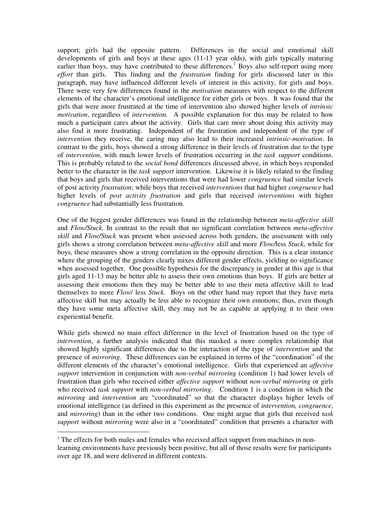support; girls had the opposite pattern. Differences in the social and emotional skill developments of girls and boys at these ages (11-13 year olds), with girls typically maturing earlier than boys, may have contributed to these differences.<sup>1</sup> Boys also self-report using more *effort* than girls. This finding and the *frustration* finding for girls discussed later in this paragraph, may have influenced different levels of interest in this activity, for girls and boys. There were very few differences found in the *motivation* measures with respect to the different elements of the character's emotional intelligence for either girls or boys. It was found that the girls that were more frustrated at the time of intervention also showed higher levels of *intrinsic motivation*, regardless of *intervention.* A possible explanation for this may be related to how much a participant cares about the activity. Girls that care more about doing this activity may also find it more frustrating. Independent of the frustration and independent of the type of *intervention* they receive, the caring may also lead to their increased *intrinsic-motivation*. In contrast to the girls, boys showed a strong difference in their levels of frustration due to the type of *intervention*, with much lower levels of frustration occurring in the *task support* conditions. This is probably related to the *social bond* differences discussed above, in which boys responded better to the character in the *task support* intervention. Likewise it is likely related to the finding that boys and girls that received interventions that were had lower *congruence* had similar levels of post activity *frustration*; while boys that received *interventions* that had higher *congruence* had higher levels of *post activity frustration* and girls that received *interventions* with higher *congruence* had substantially less frustration.

One of the biggest gender differences was found in the relationship between *meta-affective skill*  and *Flow/Stuck.* In contrast to the result that no significant correlation between *meta-affective skill* and *Flow/Stuck* was present when assessed across both genders, the assessment with only girls shows a strong correlation between *meta-affective skill* and more *Flow/*less *Stuck*, while for boys*,* these measures show a strong correlation in the opposite direction. This is a clear instance where the grouping of the genders clearly mixes different gender effects, yielding no significance when assessed together. One possible hypothesis for the discrepancy in gender at this age is that girls aged 11-13 may be better able to assess their own emotions than boys. If girls are better at assessing their emotions then they may be better able to use their meta affective skill to lead themselves to more *Flow*/ less *Stuck*. Boys on the other hand may report that they have meta affective skill but may actually be less able to recognize their own emotions; thus, even though they have some meta affective skill, they may not be as capable at applying it to their own experiential benefit.

While girls showed no main effect difference in the level of frustration based on the type of *intervention*, a further analysis indicated that this masked a more complex relationship that showed highly significant differences due to the interaction of the type of *intervention* and the presence of *mirroring*. These differences can be explained in terms of the "coordination" of the different elements of the character's emotional intelligence. Girls that experienced an *affective support* intervention in conjunction with *non-verbal mirroring* (condition 1) had lower levels of frustration than girls who received either *affective support* without *non-verbal mirroring* or girls who received *task support* with *non-verbal mirroring*. Condition 1 is a condition in which the *mirroring* and *intervention* are "coordinated" so that the character displays higher levels of emotional intelligence (as defined in this experiment as the presence of *intervention, congruence,*  and *mirroring*) than in the other two conditions. One might argue that girls that received *task support* without *mirroring* were also in a "coordinated" condition that presents a character with

 $\overline{a}$ 

<sup>&</sup>lt;sup>1</sup> The effects for both males and females who received affect support from machines in nonlearning environments have previously been positive, but all of those results were for participants over age 18, and were delivered in different contexts.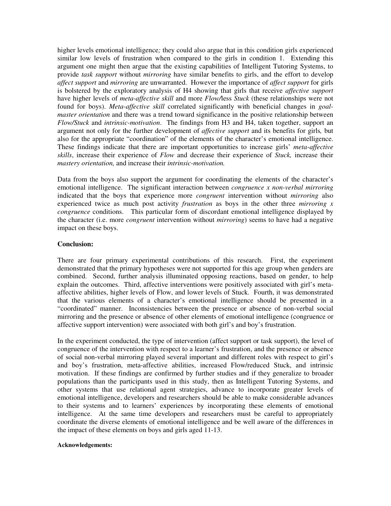higher levels emotional intelligence*;* they could also argue that in this condition girls experienced similar low levels of frustration when compared to the girls in condition 1. Extending this argument one might then argue that the existing capabilities of Intelligent Tutoring Systems, to provide *task support* without *mirroring* have similar benefits to girls, and the effort to develop *affect support* and *mirroring* are unwarranted. However the importance of *affect support* for girls is bolstered by the exploratory analysis of H4 showing that girls that receive *affective support*  have higher levels of *meta-affective skill* and more *Flow/*less *Stuck* (these relationships were not found for boys). *Meta-affective skill* correlated significantly with beneficial changes in *goalmaster orientation* and there was a trend toward significance in the positive relationship between *Flow/Stuck* and *intrinsic-motivation*. The findings from H3 and H4, taken together, support an argument not only for the further development of *affective support* and its benefits for girls*,* but also for the appropriate "coordination" of the elements of the character's emotional intelligence. These findings indicate that there are important opportunities to increase girls' *meta-affective skills*, increase their experience of *Flow* and decrease their experience of *Stuck,* increase their *mastery orientation,* and increase their *intrinsic-motivation.* 

Data from the boys also support the argument for coordinating the elements of the character's emotional intelligence. The significant interaction between *congruence x non-verbal mirroring*  indicated that the boys that experience more *congruent* intervention without *mirroring* also experienced twice as much post activity *frustration* as boys in the other three *mirroring x congruence* conditions. This particular form of discordant emotional intelligence displayed by the character (i.e. more *congruent* intervention without *mirroring*) seems to have had a negative impact on these boys.

## **Conclusion:**

There are four primary experimental contributions of this research. First, the experiment demonstrated that the primary hypotheses were not supported for this age group when genders are combined. Second, further analysis illuminated opposing reactions, based on gender, to help explain the outcomes. Third, affective interventions were positively associated with girl's metaaffective abilities, higher levels of Flow, and lower levels of Stuck. Fourth, it was demonstrated that the various elements of a character's emotional intelligence should be presented in a "coordinated" manner. Inconsistencies between the presence or absence of non-verbal social mirroring and the presence or absence of other elements of emotional intelligence (congruence or affective support intervention) were associated with both girl's and boy's frustration.

In the experiment conducted, the type of intervention (affect support or task support), the level of congruence of the intervention with respect to a learner's frustration, and the presence or absence of social non-verbal mirroring played several important and different roles with respect to girl's and boy's frustration, meta-affective abilities, increased Flow/reduced Stuck, and intrinsic motivation. If these findings are confirmed by further studies and if they generalize to broader populations than the participants used in this study, then as Intelligent Tutoring Systems, and other systems that use relational agent strategies, advance to incorporate greater levels of emotional intelligence, developers and researchers should be able to make considerable advances to their systems and to learners' experiences by incorporating these elements of emotional intelligence. At the same time developers and researchers must be careful to appropriately coordinate the diverse elements of emotional intelligence and be well aware of the differences in the impact of these elements on boys and girls aged 11-13.

#### **Acknowledgements:**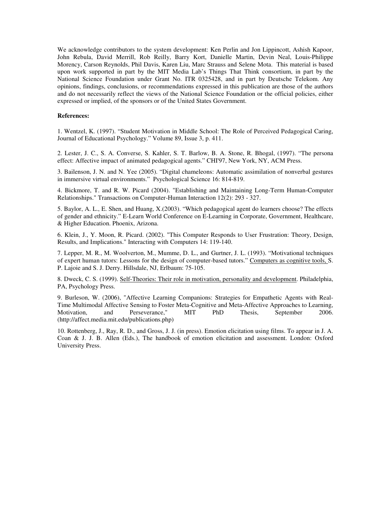We acknowledge contributors to the system development: Ken Perlin and Jon Lippincott, Ashish Kapoor, John Rebula, David Merrill, Rob Reilly, Barry Kort, Danielle Martin, Devin Neal, Louis-Philippe Morency, Carson Reynolds, Phil Davis, Karen Liu, Marc Strauss and Selene Mota. This material is based upon work supported in part by the MIT Media Lab's Things That Think consortium, in part by the National Science Foundation under Grant No. ITR 0325428, and in part by Deutsche Telekom. Any opinions, findings, conclusions, or recommendations expressed in this publication are those of the authors and do not necessarily reflect the views of the National Science Foundation or the official policies, either expressed or implied, of the sponsors or of the United States Government.

#### **References:**

1. Wentzel, K. (1997). "Student Motivation in Middle School: The Role of Perceived Pedagogical Caring, Journal of Educational Psychology." Volume 89, Issue 3, p. 411.

2. Lester, J. C., S. A. Converse, S. Kahler, S. T. Barlow, B. A. Stone, R. Bhogal, (1997). "The persona effect: Affective impact of animated pedagogical agents." CHI'97, New York, NY, ACM Press.

3. Bailenson, J. N. and N. Yee (2005). "Digital chameleons: Automatic assimilation of nonverbal gestures in immersive virtual environments." Psychological Science 16: 814-819.

4. Bickmore, T. and R. W. Picard (2004). "Establishing and Maintaining Long-Term Human-Computer Relationships." Transactions on Computer-Human Interaction 12(2): 293 - 327.

5. Baylor, A. L., E. Shen, and Huang, X.(2003). "Which pedagogical agent do learners choose? The effects of gender and ethnicity." E-Learn World Conference on E-Learning in Corporate, Government, Healthcare, & Higher Education. Phoenix, Arizona.

6. Klein, J., Y. Moon, R. Picard. (2002). "This Computer Responds to User Frustration: Theory, Design, Results, and Implications." Interacting with Computers 14: 119-140.

7. Lepper, M. R., M. Woolverton, M., Mumme, D. L., and Gurtner, J. L. (1993). "Motivational techniques of expert human tutors: Lessons for the design of computer-based tutors." Computers as cognitive tools, S. P. Lajoie and S. J. Derry. Hillsdale, NJ, Erlbaum: 75-105.

8. Dweck, C. S. (1999). Self-Theories: Their role in motivation, personality and development. Philadelphia, PA, Psychology Press.

9. Burleson, W. (2006), "Affective Learning Companions: Strategies for Empathetic Agents with Real-Time Multimodal Affective Sensing to Foster Meta-Cognitive and Meta-Affective Approaches to Learning, Motivation, and Perseverance," MIT PhD Thesis, September 2006. (http://affect.media.mit.edu/publications.php)

10. Rottenberg, J., Ray, R. D., and Gross, J. J. (in press). Emotion elicitation using films. To appear in J. A. Coan & J. J. B. Allen (Eds.), The handbook of emotion elicitation and assessment. London: Oxford University Press.